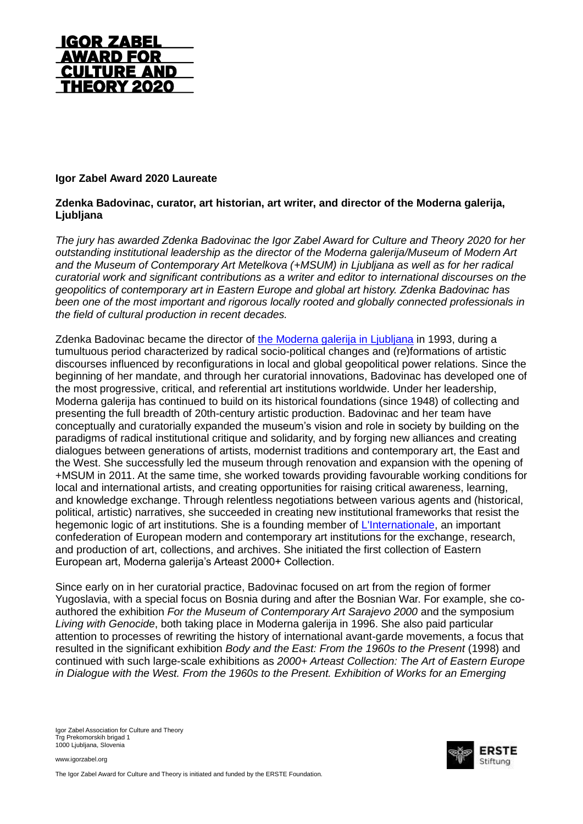

## **Igor Zabel Award 2020 Laureate**

## **Zdenka Badovinac, curator, art historian, art writer, and director of the Moderna galerija, Ljubljana**

*The jury has awarded Zdenka Badovinac the Igor Zabel Award for Culture and Theory 2020 for her outstanding institutional leadership as the director of the Moderna galerija/Museum of Modern Art and the Museum of Contemporary Art Metelkova (+MSUM) in Ljubljana as well as for her radical curatorial work and significant contributions as a writer and editor to international discourses on the geopolitics of contemporary art in Eastern Europe and global art history. Zdenka Badovinac has been one of the most important and rigorous locally rooted and globally connected professionals in the field of cultural production in recent decades.*

Zdenka Badovinac became the director of [the Moderna galerija in Ljubljana](http://www.mg-lj.si/en/) in 1993, during a tumultuous period characterized by radical socio-political changes and (re)formations of artistic discourses influenced by reconfigurations in local and global geopolitical power relations. Since the beginning of her mandate, and through her curatorial innovations, Badovinac has developed one of the most progressive, critical, and referential art institutions worldwide. Under her leadership, Moderna galerija has continued to build on its historical foundations (since 1948) of collecting and presenting the full breadth of 20th-century artistic production. Badovinac and her team have conceptually and curatorially expanded the museum's vision and role in society by building on the paradigms of radical institutional critique and solidarity, and by forging new alliances and creating dialogues between generations of artists, modernist traditions and contemporary art, the East and the West. She successfully led the museum through renovation and expansion with the opening of +MSUM in 2011. At the same time, she worked towards providing favourable working conditions for local and international artists, and creating opportunities for raising critical awareness, learning, and knowledge exchange. Through relentless negotiations between various agents and (historical, political, artistic) narratives, she succeeded in creating new institutional frameworks that resist the hegemonic logic of art institutions. She is a founding member of [L'Internationale,](http://www.internationaleonline.org/) an important confederation of European modern and contemporary art institutions for the exchange, research, and production of art, collections, and archives. She initiated the first collection of Eastern European art, Moderna galerija's Arteast 2000+ Collection.

Since early on in her curatorial practice, Badovinac focused on art from the region of former Yugoslavia, with a special focus on Bosnia during and after the Bosnian War. For example, she coauthored the exhibition *For the Museum of Contemporary Art Sarajevo 2000* and the symposium *Living with Genocide*, both taking place in Moderna galerija in 1996. She also paid particular attention to processes of rewriting the history of international avant-garde movements, a focus that resulted in the significant exhibition *Body and the East: From the 1960s to the Present* (1998) and continued with such large-scale exhibitions as *2000+ Arteast Collection: The Art of Eastern Europe in Dialogue with the West. From the 1960s to the Present. Exhibition of Works for an Emerging* 

Igor Zabel Association for Culture and Theory Trg Prekomorskih brigad 1 1000 Ljubljana, Slovenia

www.igorzabel.org